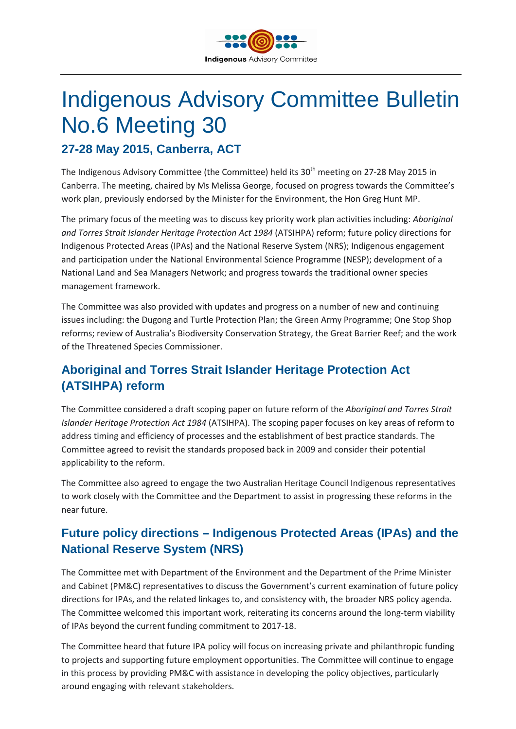

# Indigenous Advisory Committee Bulletin No.6 Meeting 30

**27-28 May 2015, Canberra, ACT**

The Indigenous Advisory Committee (the Committee) held its 30<sup>th</sup> meeting on 27-28 May 2015 in Canberra. The meeting, chaired by Ms Melissa George, focused on progress towards the Committee's work plan, previously endorsed by the Minister for the Environment, the Hon Greg Hunt MP.

The primary focus of the meeting was to discuss key priority work plan activities including: *Aboriginal and Torres Strait Islander Heritage Protection Act 1984* (ATSIHPA) reform; future policy directions for Indigenous Protected Areas (IPAs) and the National Reserve System (NRS); Indigenous engagement and participation under the National Environmental Science Programme (NESP); development of a National Land and Sea Managers Network; and progress towards the traditional owner species management framework.

The Committee was also provided with updates and progress on a number of new and continuing issues including: the Dugong and Turtle Protection Plan; the Green Army Programme; One Stop Shop reforms; review of Australia's Biodiversity Conservation Strategy, the Great Barrier Reef; and the work of the Threatened Species Commissioner.

# **Aboriginal and Torres Strait Islander Heritage Protection Act (ATSIHPA) reform**

The Committee considered a draft scoping paper on future reform of the *Aboriginal and Torres Strait Islander Heritage Protection Act 1984* (ATSIHPA). The scoping paper focuses on key areas of reform to address timing and efficiency of processes and the establishment of best practice standards. The Committee agreed to revisit the standards proposed back in 2009 and consider their potential applicability to the reform.

The Committee also agreed to engage the two Australian Heritage Council Indigenous representatives to work closely with the Committee and the Department to assist in progressing these reforms in the near future.

# **Future policy directions – Indigenous Protected Areas (IPAs) and the National Reserve System (NRS)**

The Committee met with Department of the Environment and the Department of the Prime Minister and Cabinet (PM&C) representatives to discuss the Government's current examination of future policy directions for IPAs, and the related linkages to, and consistency with, the broader NRS policy agenda. The Committee welcomed this important work, reiterating its concerns around the long-term viability of IPAs beyond the current funding commitment to 2017-18.

The Committee heard that future IPA policy will focus on increasing private and philanthropic funding to projects and supporting future employment opportunities. The Committee will continue to engage in this process by providing PM&C with assistance in developing the policy objectives, particularly around engaging with relevant stakeholders.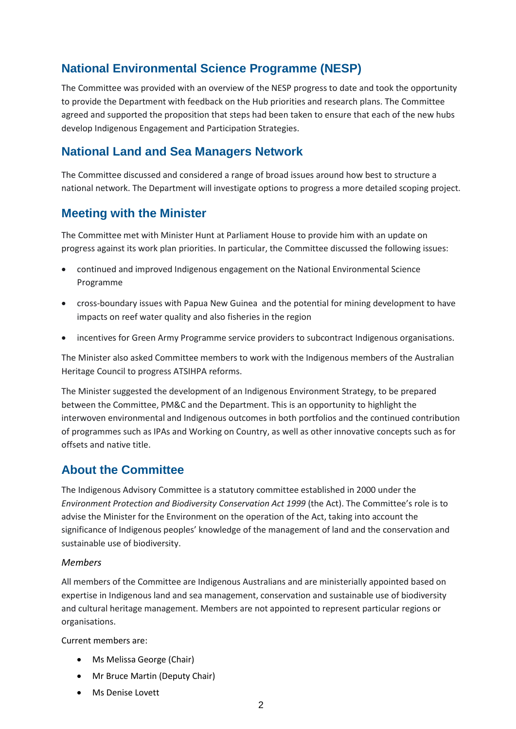# **National Environmental Science Programme (NESP)**

The Committee was provided with an overview of the NESP progress to date and took the opportunity to provide the Department with feedback on the Hub priorities and research plans. The Committee agreed and supported the proposition that steps had been taken to ensure that each of the new hubs develop Indigenous Engagement and Participation Strategies.

#### **National Land and Sea Managers Network**

The Committee discussed and considered a range of broad issues around how best to structure a national network. The Department will investigate options to progress a more detailed scoping project.

#### **Meeting with the Minister**

The Committee met with Minister Hunt at Parliament House to provide him with an update on progress against its work plan priorities. In particular, the Committee discussed the following issues:

- continued and improved Indigenous engagement on the National Environmental Science Programme
- cross-boundary issues with Papua New Guinea and the potential for mining development to have impacts on reef water quality and also fisheries in the region
- incentives for Green Army Programme service providers to subcontract Indigenous organisations.

The Minister also asked Committee members to work with the Indigenous members of the Australian Heritage Council to progress ATSIHPA reforms.

The Minister suggested the development of an Indigenous Environment Strategy, to be prepared between the Committee, PM&C and the Department. This is an opportunity to highlight the interwoven environmental and Indigenous outcomes in both portfolios and the continued contribution of programmes such as IPAs and Working on Country, as well as other innovative concepts such as for offsets and native title.

### **About the Committee**

The Indigenous Advisory Committee is a statutory committee established in 2000 under the *Environment Protection and Biodiversity Conservation Act 1999* (the Act). The Committee's role is to advise the Minister for the Environment on the operation of the Act, taking into account the significance of Indigenous peoples' knowledge of the management of land and the conservation and sustainable use of biodiversity.

#### *Members*

All members of the Committee are Indigenous Australians and are ministerially appointed based on expertise in Indigenous land and sea management, conservation and sustainable use of biodiversity and cultural heritage management. Members are not appointed to represent particular regions or organisations.

Current members are:

- Ms Melissa George (Chair)
- Mr Bruce Martin (Deputy Chair)
- Ms Denise Lovett